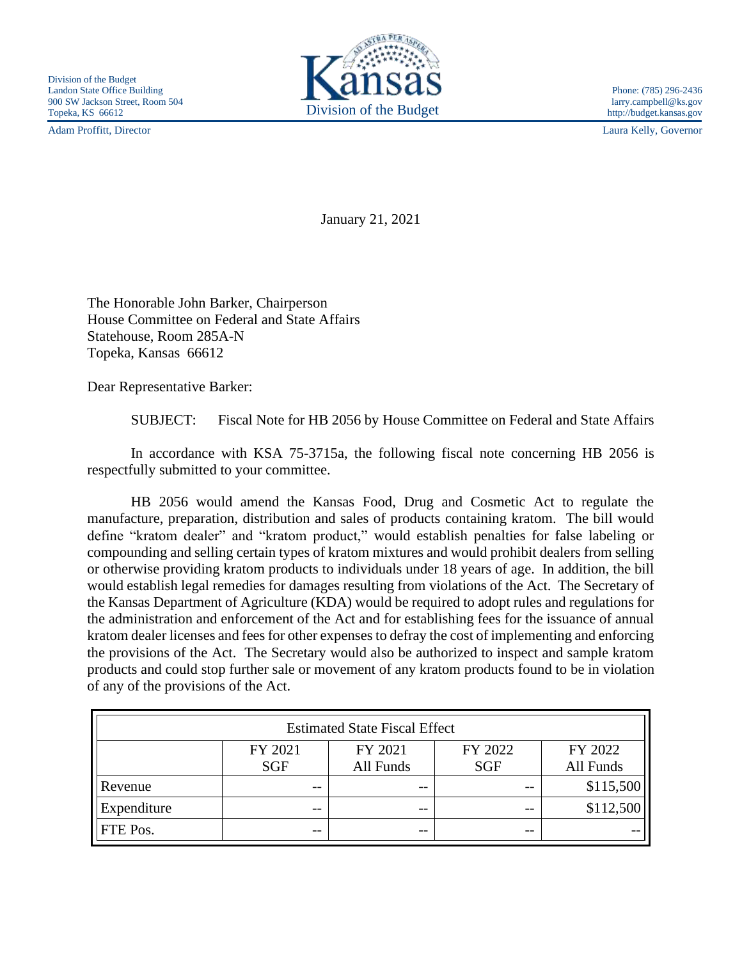Adam Proffitt, Director Laura Kelly, Governor



http://budget.kansas.gov

January 21, 2021

The Honorable John Barker, Chairperson House Committee on Federal and State Affairs Statehouse, Room 285A-N Topeka, Kansas 66612

Dear Representative Barker:

SUBJECT: Fiscal Note for HB 2056 by House Committee on Federal and State Affairs

In accordance with KSA 75-3715a, the following fiscal note concerning HB 2056 is respectfully submitted to your committee.

HB 2056 would amend the Kansas Food, Drug and Cosmetic Act to regulate the manufacture, preparation, distribution and sales of products containing kratom. The bill would define "kratom dealer" and "kratom product," would establish penalties for false labeling or compounding and selling certain types of kratom mixtures and would prohibit dealers from selling or otherwise providing kratom products to individuals under 18 years of age. In addition, the bill would establish legal remedies for damages resulting from violations of the Act. The Secretary of the Kansas Department of Agriculture (KDA) would be required to adopt rules and regulations for the administration and enforcement of the Act and for establishing fees for the issuance of annual kratom dealer licenses and fees for other expenses to defray the cost of implementing and enforcing the provisions of the Act. The Secretary would also be authorized to inspect and sample kratom products and could stop further sale or movement of any kratom products found to be in violation of any of the provisions of the Act.

| <b>Estimated State Fiscal Effect</b> |            |           |            |           |
|--------------------------------------|------------|-----------|------------|-----------|
|                                      | FY 2021    | FY 2021   | FY 2022    | FY 2022   |
|                                      | <b>SGF</b> | All Funds | <b>SGF</b> | All Funds |
| Revenue                              | --         | --        | $- -$      | \$115,500 |
| Expenditure                          | --         | --        | $ -$       | \$112,500 |
| FTE Pos.                             | --         | $ -$      | $- -$      |           |